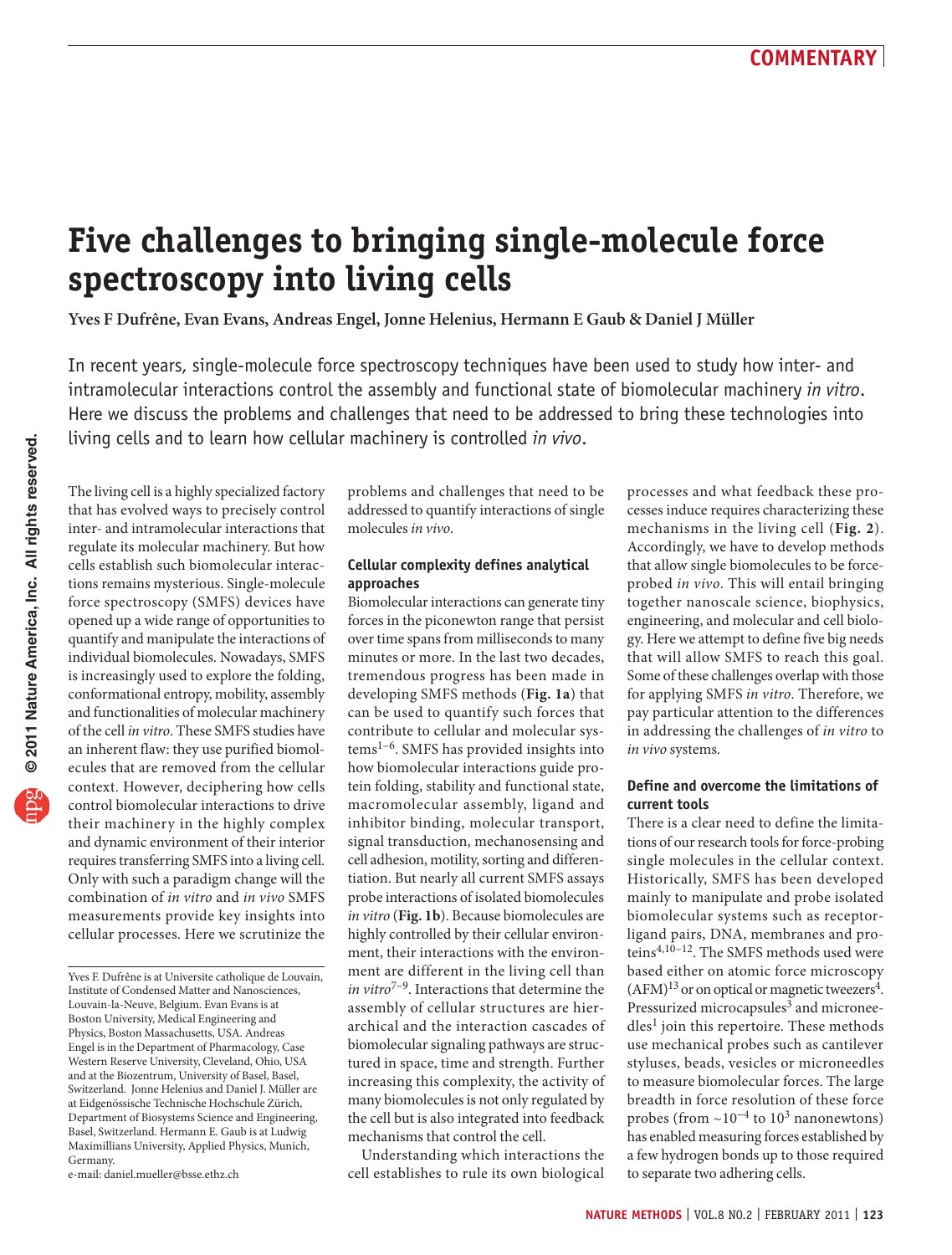# **Five challenges to bringing single-molecule force spectroscopy into living cells**

**Yves F Dufrêne, Evan Evans, Andreas Engel, Jonne Helenius, Hermann E Gaub & Daniel J Müller**

In recent years, single-molecule force spectroscopy techniques have been used to study how inter- and intramolecular interactions control the assembly and functional state of biomolecular machinery *in vitro*. Here we discuss the problems and challenges that need to be addressed to bring these technologies into living cells and to learn how cellular machinery is controlled *in vivo*.

that has evolved ways to precisely control inter- and intramolecular interactions that regulate its molecular machinery. But how cells establish such biomolecular interactions remains mysterious. Single-molecule force spectroscopy (SMFS) devices have opened up a wide range of opportunities to quantify and manipulate the interactions of individual biomolecules. Nowadays, SMFS is increasingly used to explore the folding, conformational entropy, mobility, assembly and functionalities of molecular machinery of the cell *in vitro*. These SMFS studies have an inherent flaw: they use purified biomolecules that are removed from the cellular context. However, deciphering how cells control biomolecular interactions to drive their machinery in the highly complex and dynamic environment of their interior requires transferring SMFS into a living cell. Only with such a paradigm change will the combination of *in vitro* and *in vivo* SMFS measurements provide key insights into cellular processes. Here we scrutinize the

The living cell is a highly specialized factory

e-mail: [daniel.mueller@bsse.ethz.ch](mailto:daniel.mueller@bsse.ethz.ch)

problems and challenges that need to be addressed to quantify interactions of single molecules *in vivo*.

### **Cellular complexity defines analytical approaches**

Biomolecular interactions can generate tiny forces in the piconewton range that persist over time spans from milliseconds to many minutes or more. In the last two decades, tremendous progress has been made in developing SMFS methods (**Fig. 1a**) that can be used to quantify such forces that contribute to cellular and molecular systems1–6. SMFS has provided insights into how biomolecular interactions guide protein folding, stability and functional state, macromolecular assembly, ligand and inhibitor binding, molecular transport, signal transduction, mechanosensing and cell adhesion, motility, sorting and differentiation. But nearly all current SMFS assays probe interactions of isolated biomolecules *in vitro* (**Fig. 1b**). Because biomolecules are highly controlled by their cellular environment, their interactions with the environment are different in the living cell than *in vitro*7–9. Interactions that determine the assembly of cellular structures are hierarchical and the interaction cascades of biomolecular signaling pathways are structured in space, time and strength. Further increasing this complexity, the activity of many biomolecules is not only regulated by the cell but is also integrated into feedback mechanisms that control the cell.

Understanding which interactions the cell establishes to rule its own biological

processes and what feedback these processes induce requires characterizing these mechanisms in the living cell (**Fig. 2**). Accordingly, we have to develop methods that allow single biomolecules to be forceprobed *in vivo*. This will entail bringing together nanoscale science, biophysics, engineering, and molecular and cell biology. Here we attempt to define five big needs that will allow SMFS to reach this goal. Some of these challenges overlap with those for applying SMFS *in vitro*. Therefore, we pay particular attention to the differences in addressing the challenges of *in vitro* to *in vivo* systems.

### **Define and overcome the limitations of current tools**

There is a clear need to define the limitations of our research tools for force-probing single molecules in the cellular context. Historically, SMFS has been developed mainly to manipulate and probe isolated biomolecular systems such as receptorligand pairs, DNA, membranes and proteins4,10–12. The SMFS methods used were based either on atomic force microscopy  $(AFM)^{13}$  or on optical or magnetic tweezers<sup>4</sup>. Pressurized microcapsules<sup>3</sup> and microneedles<sup>1</sup> join this repertoire. These methods use mechanical probes such as cantilever styluses, beads, vesicles or microneedles to measure biomolecular forces. The large breadth in force resolution of these force probes (from  $\sim 10^{-4}$  to  $10^3$  nanonewtons) has enabled measuring forces established by a few hydrogen bonds up to those required to separate two adhering cells.

Yves F. Dufrêne is at Universite catholique de Louvain, Institute of Condensed Matter and Nanosciences, Louvain-la-Neuve, Belgium. Evan Evans is at Boston University, Medical Engineering and Physics, Boston Massachusetts, USA. Andreas Engel is in the Department of Pharmacology, Case Western Reserve University, Cleveland, Ohio, USA and at the Biozentrum, University of Basel, Basel, Switzerland. Jonne Helenius and Daniel J. Müller are at Eidgenössische Technische Hochschule Zürich, Department of Biosystems Science and Engineering, Basel, Switzerland. Hermann E. Gaub is at Ludwig Maximillians University, Applied Physics, Munich, Germany.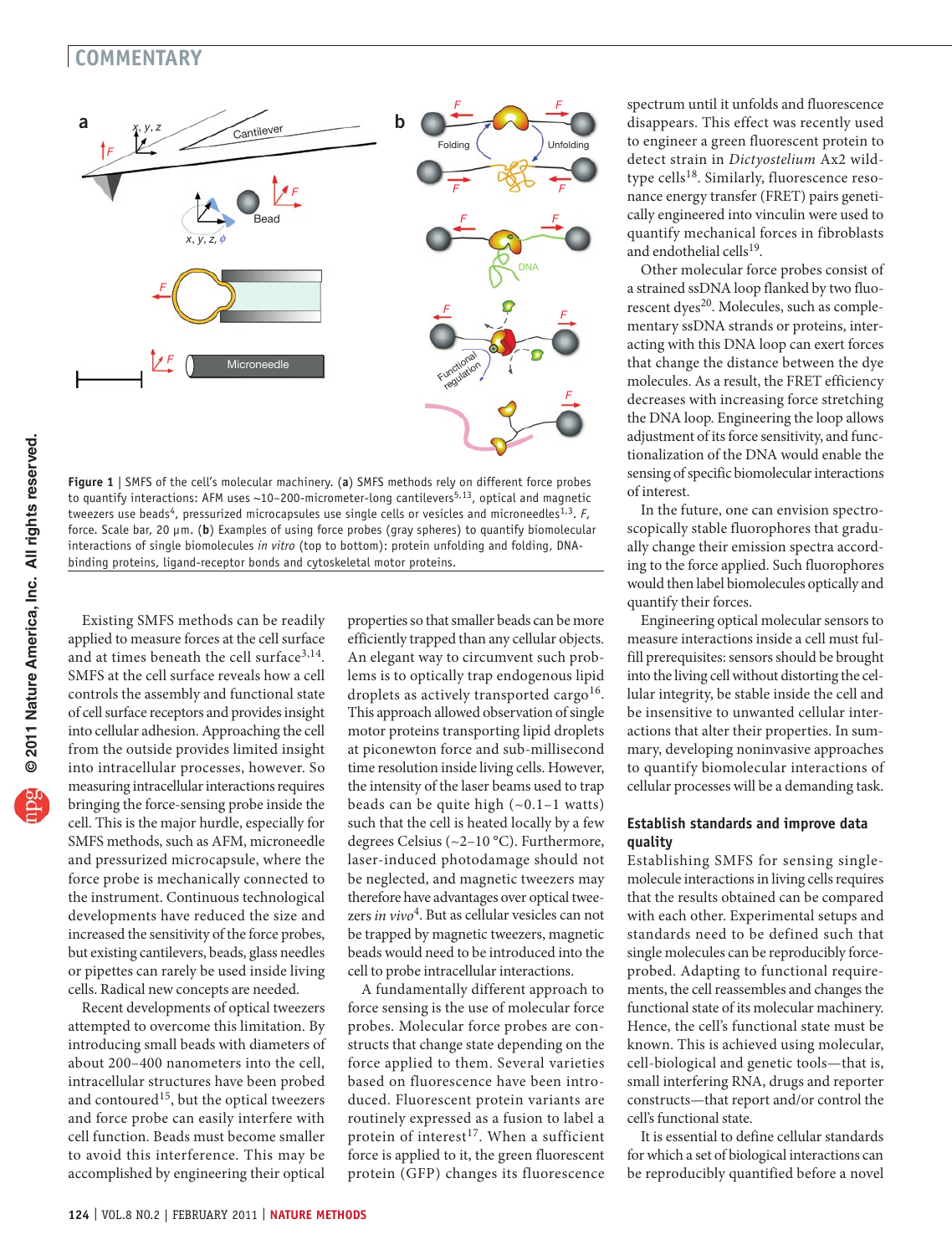

**Figure 1** | SMFS of the cell's molecular machinery. (**a**) SMFS methods rely on different force probes to quantify interactions: AFM uses  $\sim$ 10-200-micrometer-long cantilevers<sup>5,13</sup>, optical and magnetic tweezers use beads<sup>4</sup>, pressurized microcapsules use single cells or vesicles and microneedles<sup>1,3</sup>. *F*, force. Scale bar, 20 µm. (**b**) Examples of using force probes (gray spheres) to quantify biomolecular interactions of single biomolecules *in vitro* (top to bottom): protein unfolding and folding, DNAbinding proteins, ligand-receptor bonds and cytoskeletal motor proteins.

Existing SMFS methods can be readily applied to measure forces at the cell surface and at times beneath the cell surface<sup>3,14</sup>. SMFS at the cell surface reveals how a cell controls the assembly and functional state of cell surface receptors and provides insight into cellular adhesion. Approaching the cell from the outside provides limited insight into intracellular processes, however. So measuring intracellular interactions requires bringing the force-sensing probe inside the cell. This is the major hurdle, especially for SMFS methods, such as AFM, microneedle and pressurized microcapsule, where the force probe is mechanically connected to the instrument. Continuous technological developments have reduced the size and increased the sensitivity of the force probes, but existing cantilevers, beads, glass needles or pipettes can rarely be used inside living cells. Radical new concepts are needed.

Recent developments of optical tweezers attempted to overcome this limitation. By introducing small beads with diameters of about 200–400 nanometers into the cell, intracellular structures have been probed and contoured<sup>15</sup>, but the optical tweezers and force probe can easily interfere with cell function. Beads must become smaller to avoid this interference. This may be accomplished by engineering their optical

properties so that smaller beads can be more efficiently trapped than any cellular objects. An elegant way to circumvent such problems is to optically trap endogenous lipid droplets as actively transported cargo<sup>16</sup>. This approach allowed observation of single motor proteins transporting lipid droplets at piconewton force and sub-millisecond time resolution inside living cells. However, the intensity of the laser beams used to trap beads can be quite high  $(\sim 0.1 - 1$  watts) such that the cell is heated locally by a few degrees Celsius (~2–10 °C). Furthermore, laser-induced photodamage should not be neglected, and magnetic tweezers may therefore have advantages over optical tweezers *in vivo*4. But as cellular vesicles can not be trapped by magnetic tweezers, magnetic beads would need to be introduced into the cell to probe intracellular interactions.

A fundamentally different approach to force sensing is the use of molecular force probes. Molecular force probes are constructs that change state depending on the force applied to them. Several varieties based on fluorescence have been introduced. Fluorescent protein variants are routinely expressed as a fusion to label a protein of interest<sup>17</sup>. When a sufficient force is applied to it, the green fluorescent protein (GFP) changes its fluorescence spectrum until it unfolds and fluorescence disappears. This effect was recently used to engineer a green fluorescent protein to detect strain in *Dictyostelium* Ax2 wildtype cells<sup>18</sup>. Similarly, fluorescence resonance energy transfer (FRET) pairs genetically engineered into vinculin were used to quantify mechanical forces in fibroblasts and endothelial cells<sup>19</sup>.

Other molecular force probes consist of a strained ssDNA loop flanked by two fluorescent dyes<sup>20</sup>. Molecules, such as complementary ssDNA strands or proteins, interacting with this DNA loop can exert forces that change the distance between the dye molecules. As a result, the FRET efficiency decreases with increasing force stretching the DNA loop. Engineering the loop allows adjustment of its force sensitivity, and functionalization of the DNA would enable the sensing of specific biomolecular interactions of interest.

In the future, one can envision spectroscopically stable fluorophores that gradually change their emission spectra according to the force applied. Such fluorophores would then label biomolecules optically and quantify their forces.

Engineering optical molecular sensors to measure interactions inside a cell must fulfill prerequisites: sensors should be brought into the living cell without distorting the cellular integrity, be stable inside the cell and be insensitive to unwanted cellular interactions that alter their properties. In summary, developing noninvasive approaches to quantify biomolecular interactions of cellular processes will be a demanding task.

### **Establish standards and improve data quality**

Establishing SMFS for sensing singlemolecule interactions in living cells requires that the results obtained can be compared with each other. Experimental setups and standards need to be defined such that single molecules can be reproducibly forceprobed. Adapting to functional requirements, the cell reassembles and changes the functional state of its molecular machinery. Hence, the cell's functional state must be known. This is achieved using molecular, cell-biological and genetic tools—that is, small interfering RNA, drugs and reporter constructs—that report and/or control the cell's functional state.

It is essential to define cellular standards for which a set of biological interactions can be reproducibly quantified before a novel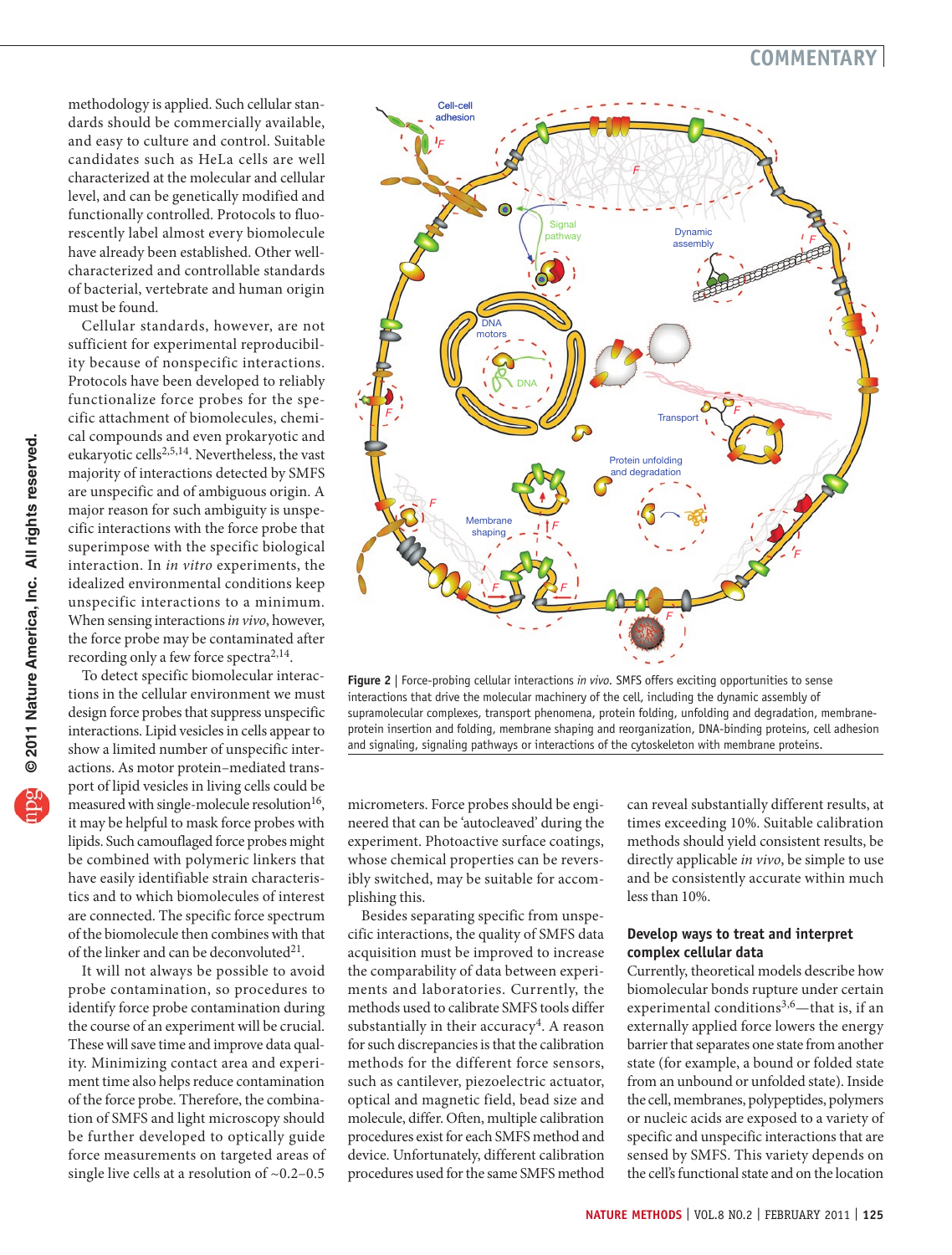### **commentary**

methodology is applied. Such cellular standards should be commercially available, and easy to culture and control. Suitable candidates such as HeLa cells are well characterized at the molecular and cellular level, and can be genetically modified and functionally controlled. Protocols to fluorescently label almost every biomolecule have already been established. Other wellcharacterized and controllable standards of bacterial, vertebrate and human origin must be found.

Cellular standards, however, are not sufficient for experimental reproducibility because of nonspecific interactions. Protocols have been developed to reliably functionalize force probes for the specific attachment of biomolecules, chemical compounds and even prokaryotic and eukaryotic cells<sup>2,5,14</sup>. Nevertheless, the vast majority of interactions detected by SMFS are unspecific and of ambiguous origin. A major reason for such ambiguity is unspecific interactions with the force probe that superimpose with the specific biological interaction. In *in vitro* experiments, the idealized environmental conditions keep unspecific interactions to a minimum. When sensing interactions *in vivo*, however, the force probe may be contaminated after recording only a few force spectra<sup>2,14</sup>.

To detect specific biomolecular interactions in the cellular environment we must design force probes that suppress unspecific interactions. Lipid vesicles in cells appear to show a limited number of unspecific interactions. As motor protein–mediated transport of lipid vesicles in living cells could be measured with single-molecule resolution $16$ , it may be helpful to mask force probes with lipids. Such camouflaged force probes might be combined with polymeric linkers that have easily identifiable strain characteristics and to which biomolecules of interest are connected. The specific force spectrum of the biomolecule then combines with that of the linker and can be deconvoluted $2^1$ .

It will not always be possible to avoid probe contamination, so procedures to identify force probe contamination during the course of an experiment will be crucial. These will save time and improve data quality. Minimizing contact area and experiment time also helps reduce contamination of the force probe. Therefore, the combination of SMFS and light microscopy should be further developed to optically guide force measurements on targeted areas of single live cells at a resolution of  $~0.2-0.5$ 



**Figure 2** | Force-probing cellular interactions *in vivo.* SMFS offers exciting opportunities to sense interactions that drive the molecular machinery of the cell, including the dynamic assembly of supramolecular complexes, transport phenomena, protein folding, unfolding and degradation, membraneprotein insertion and folding, membrane shaping and reorganization, DNA-binding proteins, cell adhesion and signaling, signaling pathways or interactions of the cytoskeleton with membrane proteins.

micrometers. Force probes should be engineered that can be 'autocleaved' during the experiment. Photoactive surface coatings, whose chemical properties can be reversibly switched, may be suitable for accomplishing this.

Besides separating specific from unspecific interactions, the quality of SMFS data acquisition must be improved to increase the comparability of data between experiments and laboratories. Currently, the methods used to calibrate SMFS tools differ substantially in their accuracy<sup>4</sup>. A reason for such discrepancies is that the calibration methods for the different force sensors, such as cantilever, piezoelectric actuator, optical and magnetic field, bead size and molecule, differ. Often, multiple calibration procedures exist for each SMFS method and device. Unfortunately, different calibration procedures used for the same SMFS method can reveal substantially different results, at times exceeding 10%. Suitable calibration methods should yield consistent results, be directly applicable *in vivo*, be simple to use and be consistently accurate within much less than 10%.

### **Develop ways to treat and interpret complex cellular data**

Currently, theoretical models describe how biomolecular bonds rupture under certain experimental conditions<sup>3,6</sup>—that is, if an externally applied force lowers the energy barrier that separates one state from another state (for example, a bound or folded state from an unbound or unfolded state). Inside the cell, membranes, polypeptides, polymers or nucleic acids are exposed to a variety of specific and unspecific interactions that are sensed by SMFS. This variety depends on the cell's functional state and on the location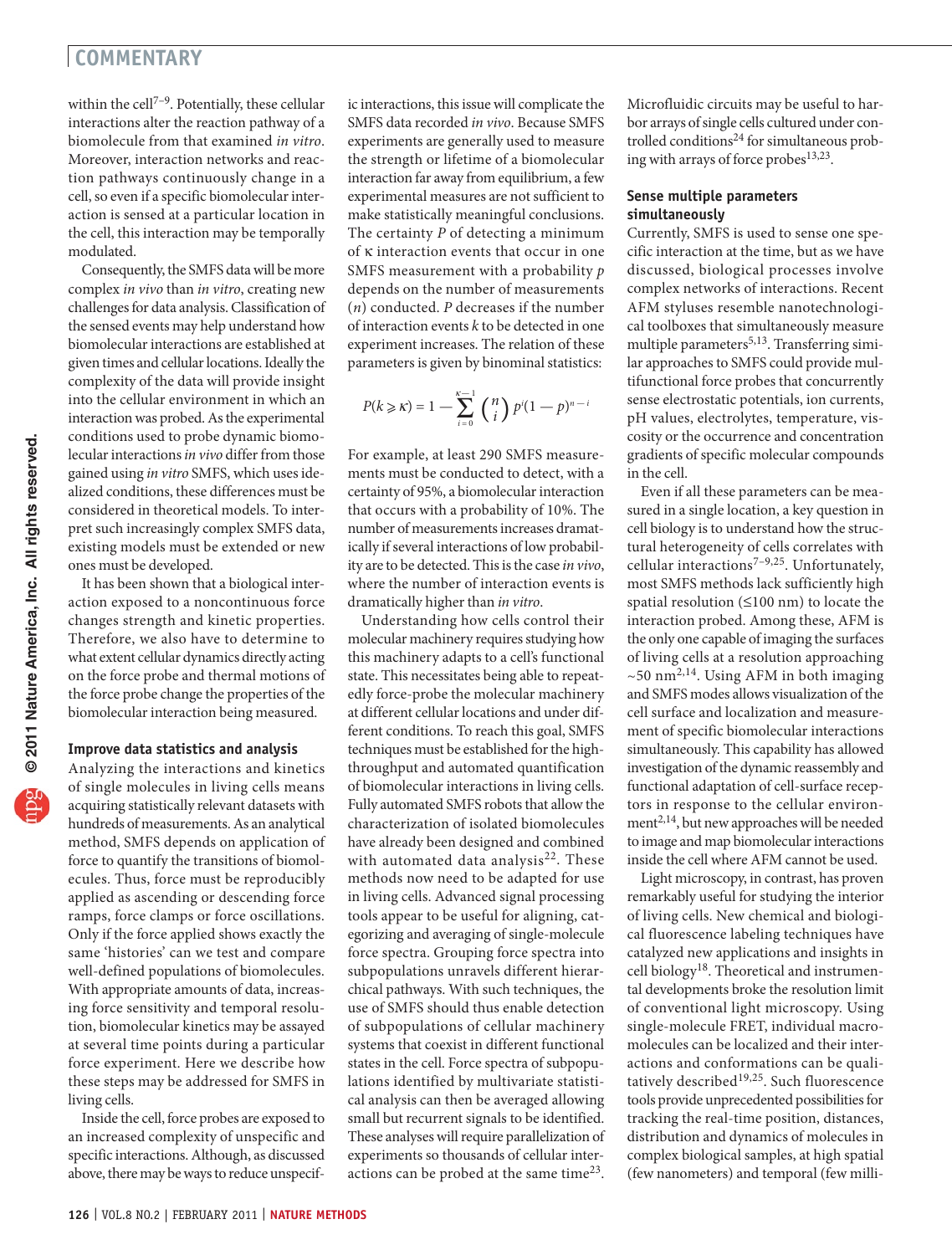## **commentary**

within the cell $7-9$ . Potentially, these cellular interactions alter the reaction pathway of a biomolecule from that examined *in vitro*. Moreover, interaction networks and reaction pathways continuously change in a cell, so even if a specific biomolecular interaction is sensed at a particular location in the cell, this interaction may be temporally modulated.

Consequently, the SMFS data will be more complex *in vivo* than *in vitro*, creating new challenges for data analysis. Classification of the sensed events may help understand how biomolecular interactions are established at given times and cellular locations. Ideally the complexity of the data will provide insight into the cellular environment in which an interaction was probed. As the experimental conditions used to probe dynamic biomolecular interactions *in vivo* differ from those gained using *in vitro* SMFS, which uses idealized conditions, these differences must be considered in theoretical models. To interpret such increasingly complex SMFS data, existing models must be extended or new ones must be developed.

It has been shown that a biological interaction exposed to a noncontinuous force changes strength and kinetic properties. Therefore, we also have to determine to what extent cellular dynamics directly acting on the force probe and thermal motions of the force probe change the properties of the biomolecular interaction being measured.

#### **Improve data statistics and analysis**

Analyzing the interactions and kinetics of single molecules in living cells means acquiring statistically relevant datasets with hundreds of measurements. As an analytical method, SMFS depends on application of force to quantify the transitions of biomolecules. Thus, force must be reproducibly applied as ascending or descending force ramps, force clamps or force oscillations. Only if the force applied shows exactly the same 'histories' can we test and compare well-defined populations of biomolecules. With appropriate amounts of data, increasing force sensitivity and temporal resolution, biomolecular kinetics may be assayed at several time points during a particular force experiment. Here we describe how these steps may be addressed for SMFS in living cells.

Inside the cell, force probes are exposed to an increased complexity of unspecific and specific interactions. Although, as discussed above, there may be ways to reduce unspecific interactions, this issue will complicate the SMFS data recorded *in vivo*. Because SMFS experiments are generally used to measure the strength or lifetime of a biomolecular interaction far away from equilibrium, a few experimental measures are not sufficient to make statistically meaningful conclusions. The certainty *P* of detecting a minimum of κ interaction events that occur in one SMFS measurement with a probability *p* depends on the number of measurements (*n*) conducted. *P* decreases if the number of interaction events *k* to be detected in one experiment increases. The relation of these parameters is given by binominal statistics:

$$
P(k \geq k) = 1 - \sum_{i=0}^{k-1} {n \choose i} p^{i} (1-p)^{n-i}
$$

For example, at least 290 SMFS measurements must be conducted to detect, with a certainty of 95%, a biomolecular interaction that occurs with a probability of 10%. The number of measurements increases dramatically if several interactions of low probability are to be detected. This is the case *in vivo*, where the number of interaction events is dramatically higher than *in vitro*.

Understanding how cells control their molecular machinery requires studying how this machinery adapts to a cell's functional state. This necessitates being able to repeatedly force-probe the molecular machinery at different cellular locations and under different conditions. To reach this goal, SMFS techniques must be established for the highthroughput and automated quantification of biomolecular interactions in living cells. Fully automated SMFS robots that allow the characterization of isolated biomolecules have already been designed and combined with automated data analysis<sup>22</sup>. These methods now need to be adapted for use in living cells. Advanced signal processing tools appear to be useful for aligning, categorizing and averaging of single-molecule force spectra. Grouping force spectra into subpopulations unravels different hierarchical pathways. With such techniques, the use of SMFS should thus enable detection of subpopulations of cellular machinery systems that coexist in different functional states in the cell. Force spectra of subpopulations identified by multivariate statistical analysis can then be averaged allowing small but recurrent signals to be identified. These analyses will require parallelization of experiments so thousands of cellular interactions can be probed at the same time<sup>23</sup>.

Microfluidic circuits may be useful to harbor arrays of single cells cultured under controlled conditions24 for simultaneous probing with arrays of force probes<sup>13,23</sup>.

### **Sense multiple parameters simultaneously**

Currently, SMFS is used to sense one specific interaction at the time, but as we have discussed, biological processes involve complex networks of interactions. Recent AFM styluses resemble nanotechnological toolboxes that simultaneously measure multiple parameters<sup>5,13</sup>. Transferring similar approaches to SMFS could provide multifunctional force probes that concurrently sense electrostatic potentials, ion currents, pH values, electrolytes, temperature, viscosity or the occurrence and concentration gradients of specific molecular compounds in the cell.

Even if all these parameters can be measured in a single location, a key question in cell biology is to understand how the structural heterogeneity of cells correlates with cellular interactions<sup>7-9,25</sup>. Unfortunately, most SMFS methods lack sufficiently high spatial resolution (≤100 nm) to locate the interaction probed. Among these, AFM is the only one capable of imaging the surfaces of living cells at a resolution approaching  $\sim$ 50 nm<sup>2,14</sup>. Using AFM in both imaging and SMFS modes allows visualization of the cell surface and localization and measurement of specific biomolecular interactions simultaneously. This capability has allowed investigation of the dynamic reassembly and functional adaptation of cell-surface receptors in response to the cellular environment<sup>2,14</sup>, but new approaches will be needed to image and map biomolecular interactions inside the cell where AFM cannot be used.

Light microscopy, in contrast, has proven remarkably useful for studying the interior of living cells. New chemical and biological fluorescence labeling techniques have catalyzed new applications and insights in cell biology<sup>18</sup>. Theoretical and instrumental developments broke the resolution limit of conventional light microscopy. Using single-molecule FRET, individual macromolecules can be localized and their interactions and conformations can be qualitatively described<sup>19,25</sup>. Such fluorescence tools provide unprecedented possibilities for tracking the real-time position, distances, distribution and dynamics of molecules in complex biological samples, at high spatial (few nanometers) and temporal (few milli-